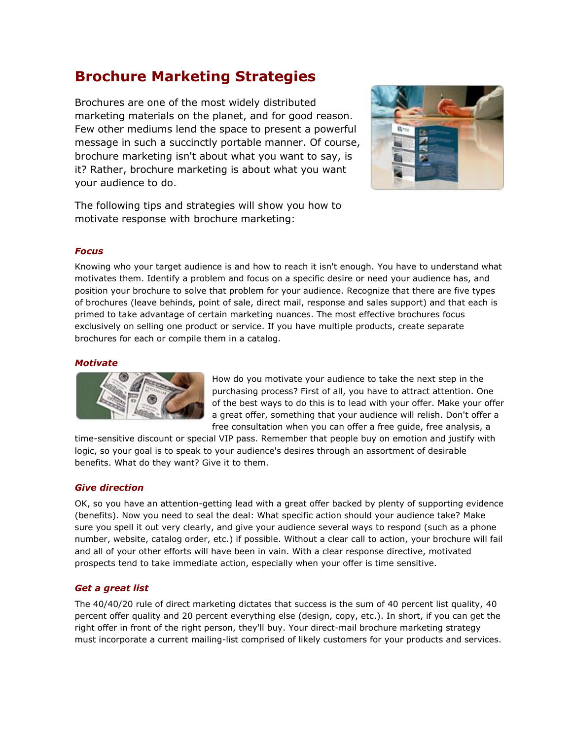# **Brochure Marketing Strategies**

Brochures are one of the most widely distributed marketing materials on the planet, and for good reason. Few other mediums lend the space to present a powerful message in such a succinctly portable manner. Of course, brochure marketing isn't about what you want to say, is it? Rather, brochure marketing is about what you want your audience to do.



The following tips and strategies will show you how to motivate response with brochure marketing:

## *Focus*

Knowing who your target audience is and how to reach it isn't enough. You have to understand what motivates them. Identify a problem and focus on a specific desire or need your audience has, and position your brochure to solve that problem for your audience. Recognize that there are five types of brochures (leave behinds, point of sale, direct mail, response and sales support) and that each is primed to take advantage of certain marketing nuances. The most effective brochures focus exclusively on selling one product or service. If you have multiple products, create separate brochures for each or compile them in a catalog.

## *Motivate*



How do you motivate your audience to take the next step in the purchasing process? First of all, you have to attract attention. One of the best ways to do this is to lead with your offer. Make your offer a great offer, something that your audience will relish. Don't offer a free consultation when you can offer a free guide, free analysis, a

time-sensitive discount or special VIP pass. Remember that people buy on emotion and justify with logic, so your goal is to speak to your audience's desires through an assortment of desirable benefits. What do they want? Give it to them.

# *Give direction*

OK, so you have an attention-getting lead with a great offer backed by plenty of supporting evidence (benefits). Now you need to seal the deal: What specific action should your audience take? Make sure you spell it out very clearly, and give your audience several ways to respond (such as a phone number, website, catalog order, etc.) if possible. Without a clear call to action, your brochure will fail and all of your other efforts will have been in vain. With a clear response directive, motivated prospects tend to take immediate action, especially when your offer is time sensitive.

#### *Get a great list*

The 40/40/20 rule of direct marketing dictates that success is the sum of 40 percent list quality, 40 percent offer quality and 20 percent everything else (design, copy, etc.). In short, if you can get the right offer in front of the right person, they'll buy. Your direct-mail brochure marketing strategy must incorporate a current mailing-list comprised of likely customers for your products and services.